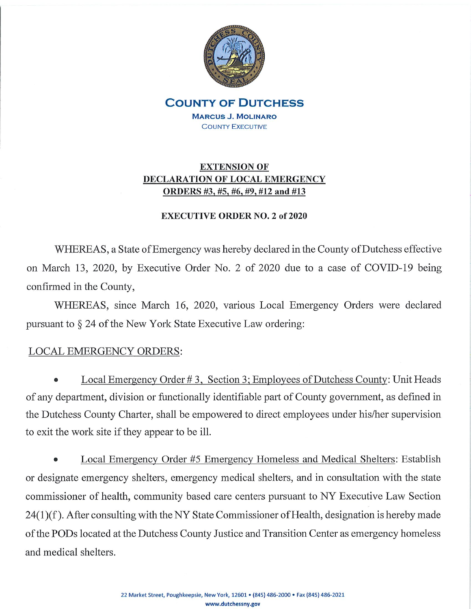

**COUNTY OF DUTCHESS MARCUS J. MOLINARO COUNTY EXECUTIVE** 

# **EXTENSION OF** DECLARATION OF LOCAL EMERGENCY ORDERS #3, #5, #6, #9, #12 and #13

### **EXECUTIVE ORDER NO. 2 of 2020**

WHEREAS, a State of Emergency was hereby declared in the County of Dutchess effective on March 13, 2020, by Executive Order No. 2 of 2020 due to a case of COVID-19 being confirmed in the County,

WHEREAS, since March 16, 2020, various Local Emergency Orders were declared pursuant to  $\S 24$  of the New York State Executive Law ordering:

## **LOCAL EMERGENCY ORDERS:**

Local Emergency Order #3, Section 3; Employees of Dutchess County: Unit Heads of any department, division or functionally identifiable part of County government, as defined in the Dutchess County Charter, shall be empowered to direct employees under his/her supervision to exit the work site if they appear to be ill.

Local Emergency Order #5 Emergency Homeless and Medical Shelters: Establish or designate emergency shelters, emergency medical shelters, and in consultation with the state commissioner of health, community based care centers pursuant to NY Executive Law Section 24(1)(f). After consulting with the NY State Commissioner of Health, designation is hereby made of the PODs located at the Dutchess County Justice and Transition Center as emergency homeless and medical shelters.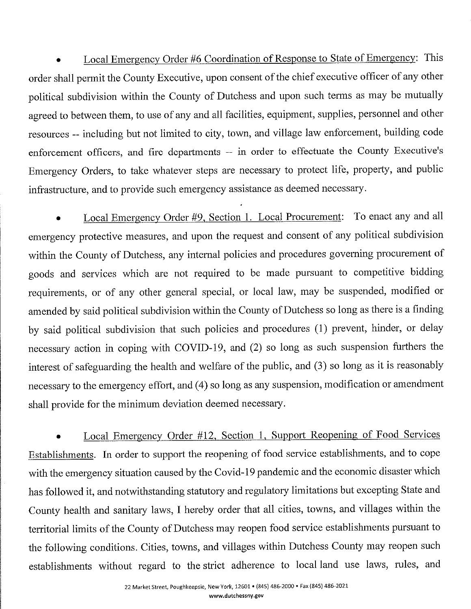Local Emergency Order #6 Coordination of Response to State of Emergency: This order shall permit the County Executive, upon consent of the chief executive officer of any other political subdivision within the County of Dutchess and upon such terms as may be mutually agreed to between them, to use of any and all facilities, equipment, supplies, personnel and other resources -- including but not limited to city, town, and village law enforcement, building code enforcement officers, and fire departments -- in order to effectuate the County Executive's Emergency Orders, to take whatever steps are necessary to protect life, property, and public infrastructure, and to provide such emergency assistance as deemed necessary.

Local Emergency Order #9, Section 1. Local Procurement: To enact any and all emergency protective measures, and upon the request and consent of any political subdivision within the County of Dutchess, any internal policies and procedures governing procurement of goods and services which are not required to be made pursuant to competitive bidding requirements, or of any other general special, or local law, may be suspended, modified or amended by said political subdivision within the County of Dutchess so long as there is a finding by said political subdivision that such policies and procedures (1) prevent, hinder, or delay necessary action in coping with COVID-19, and (2) so long as such suspension furthers the interest of safeguarding the health and welfare of the public, and (3) so long as it is reasonably necessary to the emergency effort, and (4) so long as any suspension, modification or amendment shall provide for the minimum deviation deemed necessary.

Local Emergency Order #12, Section 1, Support Reopening of Food Services Establishments. In order to support the reopening of food service establishments, and to cope with the emergency situation caused by the Covid-19 pandemic and the economic disaster which has followed it, and notwithstanding statutory and regulatory limitations but excepting State and County health and sanitary laws, I hereby order that all cities, towns, and villages within the territorial limits of the County of Dutchess may reopen food service establishments pursuant to the following conditions. Cities, towns, and villages within Dutchess County may reopen such establishments without regard to the strict adherence to local land use laws, rules, and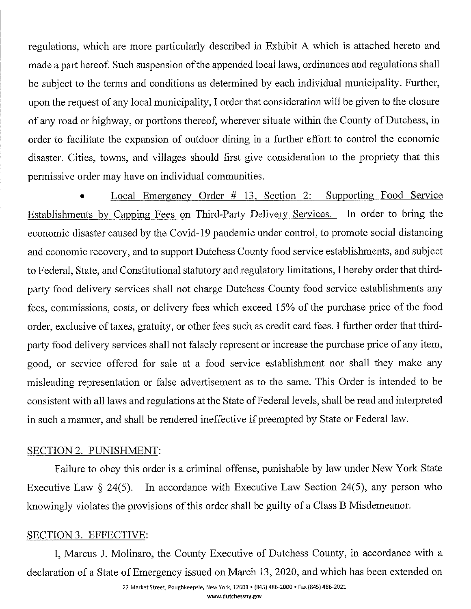regulations, which are more particularly described in Exhibit A which is attached hereto and made a part hereof. Such suspension of the appended local laws, ordinances and regulations shall be subject to the terms and conditions as determined by each individual municipality. Further, upon the request of any local municipality, I order that consideration will be given to the closure of any road or highway, or portions thereof, wherever situate within the County of Dutchess, in order to facilitate the expansion of outdoor dining in a further effort to control the economic disaster. Cities, towns, and villages should first give consideration to the propriety that this permissive order may have on individual communities.

Local Emergency Order # 13, Section 2: Supporting Food Service Establishments by Capping Fees on Third-Party Delivery Services. In order to bring the economic disaster caused by the Covid-19 pandemic under control, to promote social distancing and economic recovery, and to support Dutchess County food service establishments, and subject to Federal, State, and Constitutional statutory and regulatory limitations, I hereby order that thirdparty food delivery services shall not charge Dutchess County food service establishments any fees, commissions, costs, or delivery fees which exceed 15% of the purchase price of the food order, exclusive of taxes, gratuity, or other fees such as credit card fees. I further order that thirdparty food delivery services shall not falsely represent or increase the purchase price of any item, good, or service offered for sale at a food service establishment nor shall they make any misleading representation or false advertisement as to the same. This Order is intended to be consistent with all laws and regulations at the State of Federal levels, shall be read and interpreted in such a manner, and shall be rendered ineffective if preempted by State or Federal law.

### **SECTION 2. PUNISHMENT:**

Failure to obey this order is a criminal offense, punishable by law under New York State In accordance with Executive Law Section 24(5), any person who Executive Law  $\S$  24(5). knowingly violates the provisions of this order shall be guilty of a Class B Misdemeanor.

#### SECTION 3. EFFECTIVE:

I, Marcus J. Molinaro, the County Executive of Dutchess County, in accordance with a declaration of a State of Emergency issued on March 13, 2020, and which has been extended on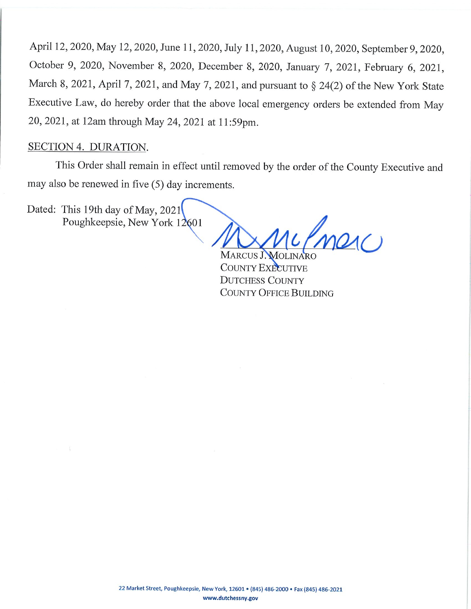April 12, 2020, May 12, 2020, June 11, 2020, July 11, 2020, August 10, 2020, September 9, 2020, October 9, 2020, November 8, 2020, December 8, 2020, January 7, 2021, February 6, 2021, March 8, 2021, April 7, 2021, and May 7, 2021, and pursuant to § 24(2) of the New York State Executive Law, do hereby order that the above local emergency orders be extended from May 20, 2021, at 12am through May 24, 2021 at 11:59pm.

## SECTION 4. DURATION.

This Order shall remain in effect until removed by the order of the County Executive and may also be renewed in five (5) day increments.

Dated: This 19th day of May, 2021 Poughkeepsie, New York 12601

Pmerc MARCUS J. MOLINARO

**COUNTY EXECUTIVE DUTCHESS COUNTY COUNTY OFFICE BUILDING**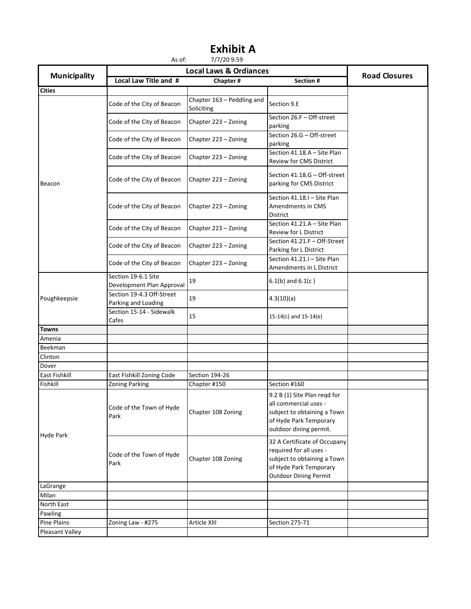| Municipality         | <b>Local Laws &amp; Ordiances</b>                |                                          |                                                                                                                                                  |                      |
|----------------------|--------------------------------------------------|------------------------------------------|--------------------------------------------------------------------------------------------------------------------------------------------------|----------------------|
|                      | Local Law Title and #                            | Chapter#                                 | Section #                                                                                                                                        | <b>Road Closures</b> |
| <b>Cities</b>        |                                                  |                                          |                                                                                                                                                  |                      |
| Beacon               | Code of the City of Beacon                       | Chapter 163 - Peddling and<br>Soliciting | Section 9.E                                                                                                                                      |                      |
|                      | Code of the City of Beacon                       | Chapter 223 - Zoning                     | Section 26.F - Off-street<br>parking                                                                                                             |                      |
|                      | Code of the City of Beacon                       | Chapter 223 - Zoning                     | Section 26.G - Off-street<br>parking                                                                                                             |                      |
|                      | Code of the City of Beacon                       | Chapter 223 - Zoning                     | Section 41.18.A - Site Plan<br>Review for CMS District                                                                                           |                      |
|                      | Code of the City of Beacon                       | Chapter 223 - Zoning                     | Section 41.18.G - Off-street<br>parking for CMS District                                                                                         |                      |
|                      | Code of the City of Beacon                       | Chapter 223 - Zoning                     | Section 41.18.I - Site Plan<br>Amendments in CMS<br><b>District</b>                                                                              |                      |
|                      | Code of the City of Beacon                       | Chapter 223 - Zoning                     | Section 41.21.A - Site Plan<br><b>Review for L District</b>                                                                                      |                      |
|                      | Code of the City of Beacon                       | Chapter 223 - Zoning                     | Section 41.21.F - Off-Street<br>Parking for L District                                                                                           |                      |
|                      | Code of the City of Beacon                       | Chapter 223 - Zoning                     | Section 41.21.I - Site Plan<br>Amendments in L District                                                                                          |                      |
| Poughkeepsie         | Section 19-6.1 Site<br>Development Plan Approval | 19                                       | $6.1(b)$ and $6.1(c)$                                                                                                                            |                      |
|                      | Section 19-4.3 Off-Street<br>Parking and Loading | 19                                       | 4.3(10)(a)                                                                                                                                       |                      |
|                      | Section 15-14 - Sidewalk<br>Cafes                | 15                                       | $15-14(c)$ and $15-14(e)$                                                                                                                        |                      |
| <b>Towns</b>         |                                                  |                                          |                                                                                                                                                  |                      |
| Amenia               |                                                  |                                          |                                                                                                                                                  |                      |
| Beekman              |                                                  |                                          |                                                                                                                                                  |                      |
| Clinton              |                                                  |                                          |                                                                                                                                                  |                      |
| Dover                |                                                  |                                          |                                                                                                                                                  |                      |
| <b>East Fishkill</b> | East Fishkill Zoning Code                        | Section 194-26                           |                                                                                                                                                  |                      |
| Fishkill             | <b>Zoning Parking</b>                            | Chapter #150                             | Section #160                                                                                                                                     |                      |
| Hyde Park            | Code of the Town of Hyde<br>Park                 | Chapter 108 Zoning                       | 9.2 B (1) Site Plan regd for<br>all commercial uses -<br>subject to obtaining a Town<br>of Hyde Park Temporary<br>outdoor dining permit.         |                      |
|                      | Code of the Town of Hyde<br>Park                 | Chapter 108 Zoning                       | 32 A Certificate of Occupany<br>required for all uses -<br>subject to obtaining a Town<br>of Hyde Park Temporary<br><b>Outdoor Dining Permit</b> |                      |
| LaGrange             |                                                  |                                          |                                                                                                                                                  |                      |
| Milan                |                                                  |                                          |                                                                                                                                                  |                      |
| North East           |                                                  |                                          |                                                                                                                                                  |                      |
| Pawling              |                                                  |                                          |                                                                                                                                                  |                      |
| Pine Plains          | Zoning Law - #275                                | Article XIII                             | Section 275-71                                                                                                                                   |                      |
| Pleasant Valley      |                                                  |                                          |                                                                                                                                                  |                      |

### As of: 7/7/20 9:59 **Exhibit A**